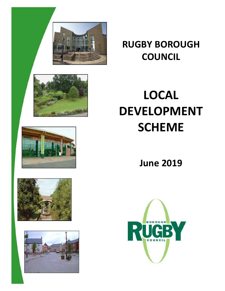

# **RUGBY BOROUGH COUNCIL**

# **LOCAL DEVELOPMENT SCHEME**

**June 2019**







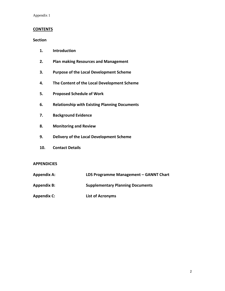Appendix 1

### **CONTENTS**

### **Section**

- **1. Introduction**
- **2. Plan making Resources and Management**
- **3. Purpose of the Local Development Scheme**
- **4. The Content of the Local Development Scheme**
- **5. Proposed Schedule of Work**
- **6. Relationship with Existing Planning Documents**
- **7. Background Evidence**
- **8. Monitoring and Review**
- **9. Delivery of the Local Development Scheme**
- **10. Contact Details**

### **APPENDICIES**

- **Appendix A: LDS Programme Management – GANNT Chart**
- **Appendix B: Supplementary Planning Documents**
- **Appendix C: List of Acronyms**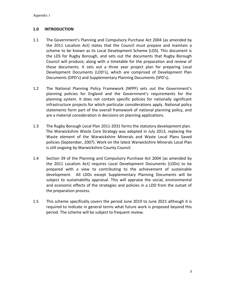### **1.0 INTRODUCTION**

- 1.1 The Government's Planning and Compulsory Purchase Act 2004 (as amended by the 2011 Localism Act) states that the Council must prepare and maintain a scheme to be known as its Local Development Scheme (LDS). This document is the LDS for Rugby Borough, and sets out the documents that Rugby Borough Council will produce, along with a timetable for the preparation and review of these documents. It sets out a three year project plan for preparing Local Development Documents (LDD's), which are comprised of Development Plan Documents (DPD's) and Supplementary Planning Documents (SPD's).
- 1.2 The National Planning Policy Framework (NPPF) sets out the Government's planning policies for England and the Government's requirements for the planning system. It does not contain specific policies for nationally significant infrastructure projects for which particular considerations apply. National policy statements form part of the overall framework of national planning policy, and are a material consideration in decisions on planning applications.
- 1.3 The Rugby Borough Local Plan 2011-2031 forms the statutory development plan. The Warwickshire Waste Core Strategy was adopted in July 2013, replacing the Waste element of the Warwickshire Minerals and Waste Local Plans Saved policies (September, 2007). Work on the latest Warwickshire Minerals Local Plan is still ongoing by Warwickshire County Council.
- 1.4 Section 39 of the Planning and Compulsory Purchase Act 2004 (as amended by the 2011 Localism Act) requires Local Development Documents (LDDs) to be prepared with a view to contributing to the achievement of sustainable development. All LDDs except Supplementary Planning Documents will be subject to sustainability appraisal. This will appraise the social, environmental and economic effects of the strategies and policies in a LDD from the outset of the preparation process.
- 1.5 This scheme specifically covers the period June 2019 to June 2021 although it is required to indicate in general terms what future work is proposed beyond this period. The scheme will be subject to frequent review.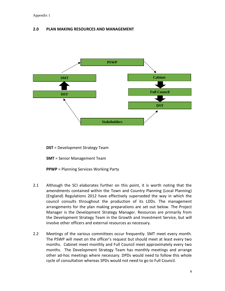### **2.0 PLAN MAKING RESOURCES AND MANAGEMENT**



**DST** = Development Strategy Team

**SMT** = Senior Management Team

**PPWP** = Planning Services Working Party

- 2.1 Although the SCI elaborates further on this point, it is worth noting that the amendments contained within the Town and Country Planning (Local Planning) (England) Regulations 2012 have effectively superseded the way in which the council consults throughout the production of its LDDs. The management arrangements for the plan making preparations are set out below. The Project Manager is the Development Strategy Manager. Resources are primarily from the Development Strategy Team in the Growth and Investment Service, but will involve other officers and external resources as necessary.
- 2.2 Meetings of the various committees occur frequently. SMT meet every month. The PSWP will meet on the officer's request but should meet at least every two months. Cabinet meet monthly and Full Council meet approximately every two months. The Development Strategy Team has monthly meetings and arrange other ad-hoc meetings where necessary. DPDs would need to follow this whole cycle of consultation whereas SPDs would not need to go to Full Council.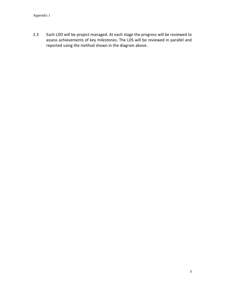2.3 Each LDD will be project managed. At each stage the progress will be reviewed to assess achievements of key milestones. The LDS will be reviewed in parallel and reported using the method shown in the diagram above.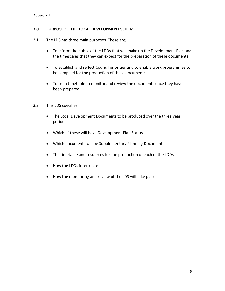### **3.0 PURPOSE OF THE LOCAL DEVELOPMENT SCHEME**

- 3.1 The LDS has three main purposes. These are;
	- To inform the public of the LDDs that will make up the Development Plan and the timescales that they can expect for the preparation of these documents.
	- To establish and reflect Council priorities and to enable work programmes to be compiled for the production of these documents.
	- To set a timetable to monitor and review the documents once they have been prepared.
- 3.2 This LDS specifies:
	- The Local Development Documents to be produced over the three year period
	- Which of these will have Development Plan Status
	- Which documents will be Supplementary Planning Documents
	- The timetable and resources for the production of each of the LDDs
	- How the LDDs interrelate
	- How the monitoring and review of the LDS will take place.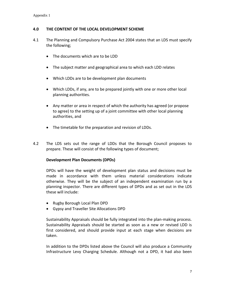### **4.0 THE CONTENT OF THE LOCAL DEVELOPMENT SCHEME**

- 4.1 The Planning and Compulsory Purchase Act 2004 states that an LDS must specify the following;
	- The documents which are to be LDD
	- The subject matter and geographical area to which each LDD relates
	- Which LDDs are to be development plan documents
	- Which LDDs, if any, are to be prepared jointly with one or more other local planning authorities.
	- Any matter or area in respect of which the authority has agreed (or propose to agree) to the setting up of a joint committee with other local planning authorities, and
	- The timetable for the preparation and revision of LDDs.
- 4.2 The LDS sets out the range of LDDs that the Borough Council proposes to prepare. These will consist of the following types of document;

### **Development Plan Documents (DPDs)**

DPDs will have the weight of development plan status and decisions must be made in accordance with them unless material considerations indicate otherwise. They will be the subject of an independent examination run by a planning inspector. There are different types of DPDs and as set out in the LDS these will include:

- Rugby Borough Local Plan DPD
- Gypsy and Traveller Site Allocations DPD

Sustainability Appraisals should be fully integrated into the plan-making process. Sustainability Appraisals should be started as soon as a new or revised LDD is first considered, and should provide input at each stage when decisions are taken.

In addition to the DPDs listed above the Council will also produce a Community Infrastructure Levy Charging Schedule. Although not a DPD, it had also been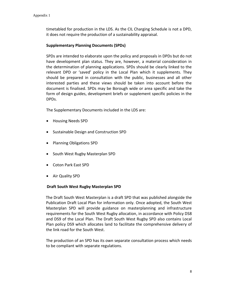timetabled for production in the LDS. As the CIL Charging Schedule is not a DPD, it does not require the production of a sustainability appraisal.

### **Supplementary Planning Documents (SPDs)**

SPDs are intended to elaborate upon the policy and proposals in DPDs but do not have development plan status. They are, however, a material consideration in the determination of planning applications. SPDs should be clearly linked to the relevant DPD or 'saved' policy in the Local Plan which it supplements. They should be prepared in consultation with the public, businesses and all other interested parties and these views should be taken into account before the document is finalised. SPDs may be Borough wide or area specific and take the form of design guides, development briefs or supplement specific policies in the DPDs.

The Supplementary Documents included in the LDS are:

- Housing Needs SPD
- Sustainable Design and Construction SPD
- Planning Obligations SPD
- South West Rugby Masterplan SPD
- Coton Park East SPD
- Air Quality SPD

### **Draft South West Rugby Masterplan SPD**

 The Draft South West Masterplan is a draft SPD that was published alongside the Publication Draft Local Plan for information only. Once adopted, the South West Masterplan SPD will provide guidance on masterplanning and infrastructure requirements for the South West Rugby allocation, in accordance with Policy DS8 and DS9 of the Local Plan. The Draft South West Rugby SPD also contains Local Plan policy DS9 which allocates land to facilitate the comprehensive delivery of the link road for the South West.

 The production of an SPD has its own separate consultation process which needs to be compliant with separate regulations.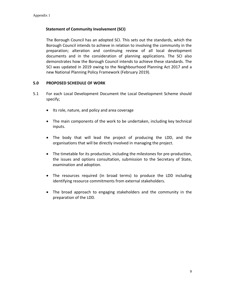### **Statement of Community Involvement (SCI)**

The Borough Council has an adopted SCI. This sets out the standards, which the Borough Council intends to achieve in relation to involving the community in the preparation; alteration and continuing review of all local development documents and in the consideration of planning applications. The SCI also demonstrates how the Borough Council intends to achieve these standards. The SCI was updated in 2019 owing to the Neighbourhood Planning Act 2017 and a new National Planning Policy Framework (February 2019).

### **5.0 PROPOSED SCHEDULE OF WORK**

- 5.1 For each Local Development Document the Local Development Scheme should specify;
	- Its role, nature, and policy and area coverage
	- The main components of the work to be undertaken, including key technical inputs.
	- The body that will lead the project of producing the LDD, and the organisations that will be directly involved in managing the project.
	- The timetable for its production, including the milestones for pre-production, the issues and options consultation, submission to the Secretary of State, examination and adoption.
	- The resources required (in broad terms) to produce the LDD including identifying resource commitments from external stakeholders.
	- The broad approach to engaging stakeholders and the community in the preparation of the LDD.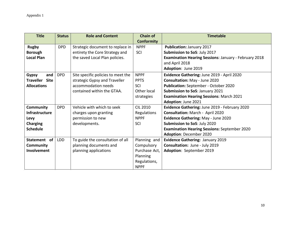| <b>Title</b>          | <b>Status</b> | <b>Role and Content</b>            | <b>Chain of</b>   | <b>Timetable</b>                                             |
|-----------------------|---------------|------------------------------------|-------------------|--------------------------------------------------------------|
|                       |               |                                    | <b>Conformity</b> |                                                              |
| <b>Rugby</b>          | <b>DPD</b>    | Strategic document to replace in   | <b>NPPF</b>       | Publication: January 2017                                    |
| <b>Borough</b>        |               | entirety the Core Strategy and     | SCI               | Submission to SoS: July 2017                                 |
| <b>Local Plan</b>     |               | the saved Local Plan policies.     |                   | <b>Examination Hearing Sessions: January - February 2018</b> |
|                       |               |                                    |                   | and April 2018                                               |
|                       |               |                                    |                   | Adoption: June 2019                                          |
| and<br><b>Gypsy</b>   | <b>DPD</b>    | Site specific policies to meet the | <b>NPPF</b>       | Evidence Gathering: June 2019 - April 2020                   |
| <b>Traveller Site</b> |               | strategic Gypsy and Traveller      | <b>PPTS</b>       | Consultation: May - June 2020                                |
| <b>Allocations</b>    |               | accommodation needs                | SCI               | Publication: September - October 2020                        |
|                       |               | contained within the GTAA.         | Other local       | Submission to SoS: January 2021                              |
|                       |               |                                    | strategies        | <b>Examination Hearing Sessions: March 2021</b>              |
|                       |               |                                    |                   | Adoption: June 2021                                          |
| Community             | <b>DPD</b>    | Vehicle with which to seek         | <b>CIL 2010</b>   | Evidence Gathering: June 2019 - February 2020                |
| <b>Infrastructure</b> |               | charges upon granting              | Regulations       | Consultation: March - April 2020                             |
| Levy                  |               | permission to new                  | <b>NPPF</b>       | Evidence Gathering: May - June 2020                          |
| <b>Charging</b>       |               | developments.                      | SCI               | Submission to SoS: July 2020                                 |
| <b>Schedule</b>       |               |                                    |                   | <b>Examination Hearing Sessions: September 2020</b>          |
|                       |               |                                    |                   | <b>Adoption: December 2020</b>                               |
| Statement of          | <b>LDD</b>    | To guide the consultation of all   | Planning and      | Evidence Gathering: January 2019                             |
| Community             |               | planning documents and             | Compulsory        | Consultation: June - July 2019                               |
| <b>Involvement</b>    |               | planning applications              | Purchase Act,     | Adoption: September 2019                                     |
|                       |               |                                    | <b>Planning</b>   |                                                              |
|                       |               |                                    | Regulations,      |                                                              |
|                       |               |                                    | <b>NPPF</b>       |                                                              |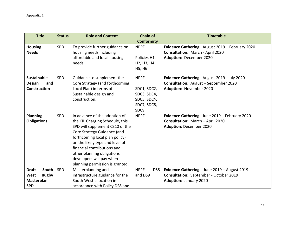| <b>Title</b>          | <b>Status</b> | <b>Role and Content</b>         | <b>Chain of</b>                                    | <b>Timetable</b>                                |
|-----------------------|---------------|---------------------------------|----------------------------------------------------|-------------------------------------------------|
|                       |               |                                 | <b>Conformity</b>                                  |                                                 |
| <b>Housing</b>        | SPD           | To provide further guidance on  | <b>NPPF</b>                                        | Evidence Gathering: August 2019 - February 2020 |
| <b>Needs</b>          |               | housing needs including         |                                                    | <b>Consultation: March - April 2020</b>         |
|                       |               | affordable and local housing    | Policies H1,                                       | Adoption: December 2020                         |
|                       |               | needs.                          | H <sub>2</sub> , H <sub>3</sub> , H <sub>4</sub> , |                                                 |
|                       |               |                                 | H5, H6                                             |                                                 |
| <b>Sustainable</b>    | <b>SPD</b>    | Guidance to supplement the      | <b>NPPF</b>                                        | Evidence Gathering: August 2019 - July 2020     |
| <b>Design</b><br>and  |               | Core Strategy (and forthcoming  |                                                    | <b>Consultation:</b> August - September 2020    |
| <b>Construction</b>   |               | Local Plan) in terms of         | SDC1, SDC2,                                        | Adoption: November 2020                         |
|                       |               | Sustainable design and          | SDC3, SDC4,                                        |                                                 |
|                       |               | construction.                   | SDC5, SDC^,                                        |                                                 |
|                       |               |                                 | SDC7, SDC8,                                        |                                                 |
|                       |               |                                 | SDC9                                               |                                                 |
| <b>Planning</b>       | SPD           | In advance of the adoption of   | <b>NPPF</b>                                        | Evidence Gathering: June 2019 - February 2020   |
| <b>Obligations</b>    |               | the CIL Charging Schedule, this |                                                    | Consultation: March - April 2020                |
|                       |               | SPD will supplement CS10 of the |                                                    | <b>Adoption: December 2020</b>                  |
|                       |               | Core Strategy Guidance (and     |                                                    |                                                 |
|                       |               | forthcoming local plan policy)  |                                                    |                                                 |
|                       |               | on the likely type and level of |                                                    |                                                 |
|                       |               | financial contributions and     |                                                    |                                                 |
|                       |               | other planning obligations      |                                                    |                                                 |
|                       |               | developers will pay when        |                                                    |                                                 |
|                       |               | planning permission is granted. |                                                    |                                                 |
| <b>Draft</b><br>South | SPD           | Masterplanning and              | <b>NPPF</b><br>DS8                                 | Evidence Gathering: June 2019 - August 2019     |
| West<br>Rugby         |               | infrastructure guidance for the | and DS9                                            | <b>Consultation:</b> September - October 2019   |
| Masterplan            |               | South West allocation in        |                                                    | <b>Adoption: January 2020</b>                   |
| <b>SPD</b>            |               | accordance with Policy DS8 and  |                                                    |                                                 |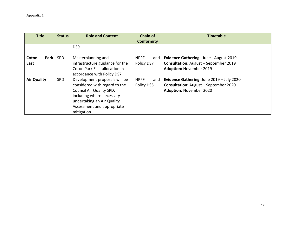| <b>Title</b>       | <b>Status</b> | <b>Role and Content</b>         | <b>Chain of</b>    | <b>Timetable</b>                             |
|--------------------|---------------|---------------------------------|--------------------|----------------------------------------------|
|                    |               |                                 | <b>Conformity</b>  |                                              |
|                    |               | DS9                             |                    |                                              |
| Park  <br>Coton    | <b>SPD</b>    | Masterplanning and              | <b>NPPF</b><br>and | Evidence Gathering: June - August 2019       |
| East               |               | infrastructure guidance for the | Policy DS7         | <b>Consultation:</b> August - September 2019 |
|                    |               | Coton Park East allocation in   |                    | <b>Adoption: November 2019</b>               |
|                    |               | accordance with Policy DS7      |                    |                                              |
| <b>Air Quality</b> | <b>SPD</b>    | Development proposals will be   | <b>NPPF</b><br>and | Evidence Gathering: June 2019 - July 2020    |
|                    |               | considered with regard to the   | Policy HS5         | <b>Consultation:</b> August - September 2020 |
|                    |               | Council Air Quality SPD,        |                    | <b>Adoption: November 2020</b>               |
|                    |               | including where necessary       |                    |                                              |
|                    |               | undertaking an Air Quality      |                    |                                              |
|                    |               | Assessment and appropriate      |                    |                                              |
|                    |               | mitigation.                     |                    |                                              |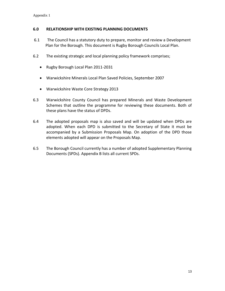### **6.0 RELATIONSHIP WITH EXISTING PLANNING DOCUMENTS**

- 6.1 The Council has a statutory duty to prepare, monitor and review a Development Plan for the Borough. This document is Rugby Borough Councils Local Plan.
- 6.2 The existing strategic and local planning policy framework comprises;
	- Rugby Borough Local Plan 2011-2031
	- Warwickshire Minerals Local Plan Saved Policies, September 2007
	- Warwickshire Waste Core Strategy 2013
- 6.3 Warwickshire County Council has prepared Minerals and Waste Development Schemes that outline the programme for reviewing these documents. Both of these plans have the status of DPDs.
- 6.4 The adopted proposals map is also saved and will be updated when DPDs are adopted. When each DPD is submitted to the Secretary of State it must be accompanied by a Submission Proposals Map. On adoption of the DPD those elements adopted will appear on the Proposals Map.
- 6.5 The Borough Council currently has a number of adopted Supplementary Planning Documents (SPDs). Appendix B lists all current SPDs.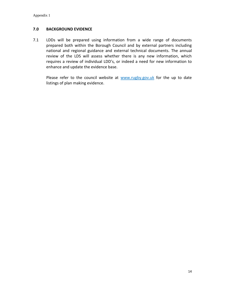### **7.0 BACKGROUND EVIDENCE**

7.1 LDDs will be prepared using information from a wide range of documents prepared both within the Borough Council and by external partners including national and regional guidance and external technical documents. The annual review of the LDS will assess whether there is any new information, which requires a review of individual LDD's, or indeed a need for new information to enhance and update the evidence base.

Please refer to the council website at [www.rugby.gov.uk](http://www.rugby.gov.uk/) for the up to date listings of plan making evidence.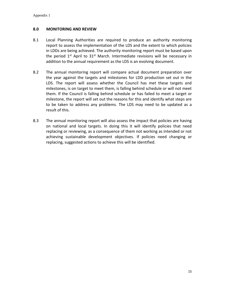### **8.0 MONITORING AND REVIEW**

- 8.1 Local Planning Authorities are required to produce an authority monitoring report to assess the implementation of the LDS and the extent to which policies in LDDs are being achieved. The authority monitoring report must be based upon the period  $1<sup>st</sup>$  April to  $31<sup>st</sup>$  March. Intermediate revisions will be necessary in addition to the annual requirement as the LDS is an evolving document.
- 8.2 The annual monitoring report will compare actual document preparation over the year against the targets and milestones for LDD production set out in the LDS. The report will assess whether the Council has met these targets and milestones, is on target to meet them, is falling behind schedule or will not meet them. If the Council is falling behind schedule or has failed to meet a target or milestone, the report will set out the reasons for this and identify what steps are to be taken to address any problems. The LDS may need to be updated as a result of this.
- 8.3 The annual monitoring report will also assess the impact that policies are having on national and local targets. In doing this it will identify policies that need replacing or reviewing, as a consequence of them not working as intended or not achieving sustainable development objectives. If policies need changing or replacing, suggested actions to achieve this will be identified.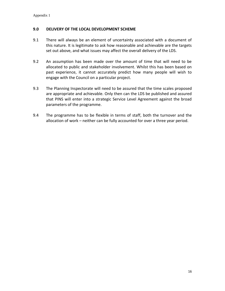### **9.0 DELIVERY OF THE LOCAL DEVELOPMENT SCHEME**

- 9.1 There will always be an element of uncertainty associated with a document of this nature. It is legitimate to ask how reasonable and achievable are the targets set out above, and what issues may affect the overall delivery of the LDS.
- 9.2 An assumption has been made over the amount of time that will need to be allocated to public and stakeholder involvement. Whilst this has been based on past experience, it cannot accurately predict how many people will wish to engage with the Council on a particular project.
- 9.3 The Planning Inspectorate will need to be assured that the time scales proposed are appropriate and achievable. Only then can the LDS be published and assured that PINS will enter into a strategic Service Level Agreement against the broad parameters of the programme.
- 9.4 The programme has to be flexible in terms of staff, both the turnover and the allocation of work – neither can be fully accounted for over a three year period.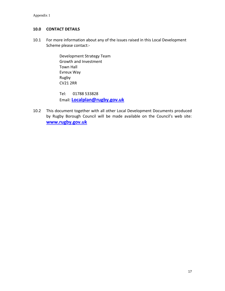### **10.0 CONTACT DETAILS**

10.1 For more information about any of the issues raised in this Local Development Scheme please contact:-

> Development Strategy Team Growth and Investment Town Hall Evreux Way Rugby CV21 2RR

Tel: 01788 533828 Email: **[Localplan@rugby.gov.uk](mailto:Localplan@rugby.gov.uk)**

10.2 This document together with all other Local Development Documents produced by Rugby Borough Council will be made available on the Council's web site: **[www.rugby.gov.uk](http://www.rugby.gov.uk/)**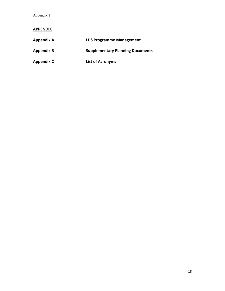Appendix 1

### **APPENDIX**

| <b>Appendix A</b> | <b>LDS Programme Management</b>         |
|-------------------|-----------------------------------------|
| <b>Appendix B</b> | <b>Supplementary Planning Documents</b> |
| <b>Appendix C</b> | <b>List of Acronyms</b>                 |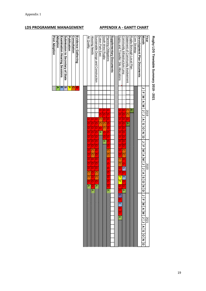### **LDS PROGRAMME MANAGEMENT APPENDIX A - GANTT CHART**

# **Rugby LDS Timetable Summary 2019 - 2021**

| Air Quality         | <b>Housing Needs</b>    | Sustainable Design and Construction | Coton Park East     | South West Rugby    | Planning Obligations    | Supplementary Documents | Gypsy and Traveller Ste Allocations | Community Infrastructure Leyy | Statement of Connunity Involvement | Rugby Borotah Local Plan | Core Strategy | Development Plan Documents | Month             | Year |
|---------------------|-------------------------|-------------------------------------|---------------------|---------------------|-------------------------|-------------------------|-------------------------------------|-------------------------------|------------------------------------|--------------------------|---------------|----------------------------|-------------------|------|
|                     |                         |                                     |                     |                     |                         |                         |                                     |                               |                                    |                          |               |                            | ¢                 |      |
|                     |                         |                                     |                     |                     |                         |                         |                                     |                               |                                    |                          |               |                            | T                 |      |
|                     |                         |                                     |                     |                     |                         |                         |                                     |                               |                                    |                          |               |                            |                   |      |
|                     |                         |                                     |                     |                     |                         |                         |                                     |                               |                                    |                          |               |                            |                   |      |
|                     |                         |                                     |                     |                     |                         |                         |                                     |                               |                                    |                          |               |                            |                   |      |
|                     |                         |                                     |                     |                     |                         |                         |                                     |                               |                                    |                          |               |                            |                   |      |
|                     |                         |                                     | Q                   | Q                   | Q                       |                         | Q                                   | Q                             | Õ                                  | J                        |               |                            |                   | 2019 |
|                     |                         |                                     | Q                   | $\overline{\Omega}$ | $\overline{\Omega}$     |                         | Q                                   | $\overline{\mathbb{G}}$       |                                    |                          |               |                            |                   |      |
| $\Omega$            | Q                       | $\Omega$                            | $\overline{\Omega}$ | $\overline{\Omega}$ | $\overline{\Omega}$     |                         | Q                                   | $\overline{\mathbb{G}}$       | $\Omega$                           |                          |               |                            |                   |      |
| G)                  | $\Omega$                | Q                                   | $\overline{\Omega}$ | $\overline{\circ}$  | $\overline{\mathbb{G}}$ |                         | Q                                   | Q                             | Þ                                  |                          |               |                            |                   |      |
| G)                  | Q                       | $\Omega$                            | Q                   | $\circ$             | $\overline{\Omega}$     |                         | റ                                   | G.                            |                                    |                          |               |                            |                   |      |
| $\overline{\Omega}$ | $\overline{\mathbb{G}}$ | $\overline{\mathbb{G}}$             | ⋗                   | G)                  | $\overline{\Omega}$     |                         | Q                                   | $\overline{\mathbb{G}}$       |                                    |                          |               |                            |                   |      |
| $\overline{\Omega}$ | $\overline{\mathbb{G}}$ | $\overline{\mathbb{G}}$             |                     | $\overline{\Omega}$ | $\overline{\Omega}$     |                         | $\overline{\mathbb{G}}$             | $\overline{\Omega}$           |                                    |                          |               |                            |                   |      |
| $\overline{\Omega}$ | $\overline{\mathbb{G}}$ | $\overline{\mathbb{G}}$             |                     | ⋗                   |                         |                         | $\overline{\mathbb{G}}$             |                               |                                    |                          |               |                            |                   |      |
|                     |                         |                                     |                     |                     | $\overline{\Omega}$     |                         |                                     | $\overline{\Omega}$           |                                    |                          |               |                            |                   |      |
| $\Omega$            | Q                       |                                     |                     |                     | $\Omega$                |                         | $\Omega$                            | $\overline{\Omega}$           |                                    |                          |               |                            |                   |      |
| $\overline{\Omega}$ | $\overline{\circ}$      | $\overline{\Omega}$                 |                     |                     | $\overline{\Omega}$     |                         | $\overline{\Omega}$                 | $\overline{\circ}$            |                                    |                          |               |                            |                   |      |
| $\overline{\Omega}$ | $\overline{\Omega}$     | $\overline{\Omega}$                 |                     |                     | $\overline{\mathbf{C}}$ |                         | $\overline{\mathbb{G}}$             |                               |                                    |                          |               |                            |                   |      |
| $\overline{\Omega}$ | Q                       | $\overline{\Omega}$                 |                     |                     | $\overline{\Omega}$     |                         | $\overline{\Omega}$                 | $\overline{\Omega}$           |                                    |                          |               |                            |                   |      |
| $\overline{\Omega}$ | $\overline{\mathbb{G}}$ | $\overline{\Omega}$                 |                     |                     |                         |                         | $\overline{\circ}$                  | $\Omega$                      |                                    |                          |               |                            |                   |      |
| $\overline{\Omega}$ | $\overline{\mathbb{G}}$ | $\overline{\Omega}$                 |                     |                     | ဂ<br>ဂ                  |                         | $\overline{\Omega}$                 | $\overline{\mathcal{S}}$      |                                    |                          |               |                            |                   | 2020 |
| $\circ$             | $\overline{\mathbb{G}}$ | $\overline{\Omega}$                 |                     |                     | $\overline{\Omega}$     |                         | $\overline{\Omega}$                 | $\overline{\Omega}$           |                                    |                          |               |                            |                   |      |
|                     |                         |                                     |                     |                     |                         |                         |                                     |                               |                                    |                          |               |                            |                   |      |
|                     | $\overline{\mathbb{G}}$ | $\overline{\Omega}$                 |                     |                     | $\overline{\Omega}$     |                         | $\overline{\mathbf{u}}$             | $\overline{m}$                |                                    |                          |               |                            |                   |      |
| $\Omega$            | $\Omega$                | Q                                   |                     |                     | $\Omega$                |                         | $\overline{\mathbf{v}}$             | $\Omega$                      |                                    |                          |               |                            |                   |      |
| Þ                   | Q                       | $\triangleright$                    |                     |                     | $\overline{\Omega}$     |                         | Q                                   | $\Omega$                      |                                    |                          |               |                            |                   |      |
|                     | $\triangleright$        |                                     |                     |                     |                         |                         | Q                                   | ∣⊳                            |                                    |                          |               |                            |                   |      |
|                     |                         |                                     |                     |                     |                         |                         | O)                                  |                               |                                    |                          |               |                            |                   |      |
|                     |                         |                                     |                     |                     |                         |                         |                                     |                               |                                    |                          |               |                            |                   |      |
|                     |                         |                                     |                     |                     |                         |                         |                                     |                               |                                    |                          |               |                            |                   |      |
|                     |                         |                                     |                     |                     |                         |                         |                                     |                               |                                    |                          |               |                            |                   |      |
|                     |                         |                                     |                     |                     |                         |                         |                                     |                               |                                    |                          |               |                            |                   |      |
|                     |                         |                                     |                     |                     |                         |                         |                                     |                               |                                    |                          |               |                            | $\frac{8}{1}$     |      |
|                     |                         |                                     |                     |                     |                         |                         |                                     |                               |                                    |                          |               |                            |                   |      |
|                     |                         |                                     |                     |                     |                         |                         |                                     |                               |                                    |                          |               |                            | L   L   N   S   N | 202  |
|                     |                         |                                     |                     |                     |                         |                         |                                     |                               |                                    |                          |               |                            |                   |      |
|                     |                         |                                     |                     |                     |                         |                         |                                     |                               |                                    |                          |               |                            |                   |      |
|                     |                         |                                     |                     |                     |                         |                         |                                     |                               |                                    |                          |               |                            |                   |      |
|                     |                         |                                     |                     |                     |                         |                         |                                     |                               |                                    |                          |               |                            |                   |      |
|                     |                         |                                     |                     |                     |                         |                         |                                     |                               |                                    |                          |               |                            |                   |      |
|                     |                         |                                     |                     |                     |                         |                         |                                     |                               |                                    |                          |               |                            |                   |      |

| <b>Post Adoption</b><br><b>Adoption</b> | Examination Hearing Sessions | Submission to Secretary of State<br>S. | Publication | Consultation | Evidence Gathering |
|-----------------------------------------|------------------------------|----------------------------------------|-------------|--------------|--------------------|
|-----------------------------------------|------------------------------|----------------------------------------|-------------|--------------|--------------------|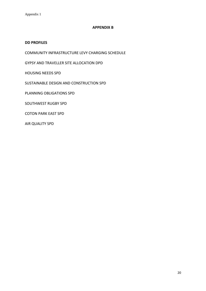### **APPENDIX B**

### **DD PROFILES**

COMMUNITY INFRASTRUCTURE LEVY CHARGING SCHEDULE

GYPSY AND TRAVELLER SITE ALLOCATION DPD

HOUSING NEEDS SPD

SUSTAINABLE DESIGN AND CONSTRUCTION SPD

PLANNING OBLIGATIONS SPD

SOUTHWEST RUGBY SPD

COTON PARK EAST SPD

AIR QUALITY SPD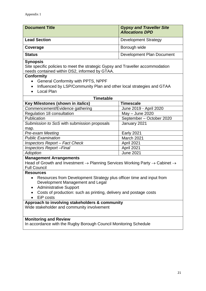| <b>Document Title</b> | <b>Gypsy and Traveller Site</b><br><b>Allocations DPD</b> |
|-----------------------|-----------------------------------------------------------|
| <b>Lead Section</b>   | <b>Development Strategy</b>                               |
| Coverage              | Borough wide                                              |
| <b>Status</b>         | Development Plan Document                                 |

Site specific policies to meet the strategic Gypsy and Traveller accommodation needs contained within DS2, informed by GTAA.

### **Conformity**

- General Conformity with PPTS, NPPF
- Influenced by LSP/Community Plan and other local strategies and GTAA
- Local Plan

| <b>Timetable</b>                            |                          |  |  |  |  |  |
|---------------------------------------------|--------------------------|--|--|--|--|--|
| Key Milestones (shown in <i>italics</i> )   | <b>Timescale</b>         |  |  |  |  |  |
| Commencement/Evidence gathering             | June 2019 - April 2020   |  |  |  |  |  |
| Regulation 18 consultation                  | May - June 2020          |  |  |  |  |  |
| Publication                                 | September - October 2020 |  |  |  |  |  |
| Submission to SoS with submission proposals | January 2021             |  |  |  |  |  |
| map.                                        |                          |  |  |  |  |  |
| <b>Pre-exam Meeting</b>                     | <b>Early 2021</b>        |  |  |  |  |  |
| <b>Public Examination</b>                   | March 2021               |  |  |  |  |  |
| <b>Inspectors Report - Fact Check</b>       | April 2021               |  |  |  |  |  |
| <b>Inspectors Report-Final</b>              | April 2021               |  |  |  |  |  |
| <b>Adoption</b>                             | <b>June 2021</b>         |  |  |  |  |  |
|                                             |                          |  |  |  |  |  |

### **Management Arrangements**

Head of Growth and Investment  $\rightarrow$  Planning Services Working Party  $\rightarrow$  Cabinet  $\rightarrow$ Full Council

### **Resources**

- Resources from Development Strategy plus officer time and input from Development Management and Legal
- Administrative Support
- Costs of production: such as printing, delivery and postage costs
- EiP costs

### **Approach to involving stakeholders & community**

Wide stakeholder and community involvement

### **Monitoring and Review**

In accordance with the Rugby Borough Council Monitoring Schedule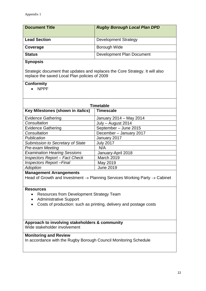| <b>Document Title</b> | <b>Rugby Borough Local Plan DPD</b> |
|-----------------------|-------------------------------------|
| <b>Lead Section</b>   | <b>Development Strategy</b>         |
| Coverage              | Borough Wide                        |
| <b>Status</b>         | Development Plan Document           |

Strategic document that updates and replaces the Core Strategy. It will also replace the saved Local Plan policies of 2009

### **Conformity**

NPPF

| <b>Timetable</b>                                                                                                                                                                             |                         |  |  |  |  |
|----------------------------------------------------------------------------------------------------------------------------------------------------------------------------------------------|-------------------------|--|--|--|--|
| Key Milestones (shown in <i>italics</i> )                                                                                                                                                    | <b>Timescale</b>        |  |  |  |  |
| <b>Evidence Gathering</b>                                                                                                                                                                    | January 2014 - May 2014 |  |  |  |  |
| Consultation                                                                                                                                                                                 | July - August 2014      |  |  |  |  |
| <b>Evidence Gathering</b>                                                                                                                                                                    | September - June 2015   |  |  |  |  |
| Consultation                                                                                                                                                                                 | December - January 2017 |  |  |  |  |
| Publication                                                                                                                                                                                  | January 2017            |  |  |  |  |
| Submission to Secretary of State                                                                                                                                                             | <b>July 2017</b>        |  |  |  |  |
| <b>Pre-exam Meeting</b>                                                                                                                                                                      | N/A                     |  |  |  |  |
| <b>Examination Hearing Sessions</b>                                                                                                                                                          | January-April 2018      |  |  |  |  |
| <b>Inspectors Report - Fact Check</b>                                                                                                                                                        | <b>March 2019</b>       |  |  |  |  |
| <b>Inspectors Report-Final</b>                                                                                                                                                               | May 2019                |  |  |  |  |
| <b>Adoption</b>                                                                                                                                                                              | <b>June 2019</b>        |  |  |  |  |
| <b>Management Arrangements</b><br>Head of Growth and Investment $\rightarrow$ Planning Services Working Party $\rightarrow$ Cabinet                                                          |                         |  |  |  |  |
| <b>Resources</b><br>Resources from Development Strategy Team<br>$\bullet$<br><b>Administrative Support</b><br>$\bullet$<br>Costs of production: such as printing, delivery and postage costs |                         |  |  |  |  |
| Approach to involving stakeholders & community<br>Wide stakeholder involvement                                                                                                               |                         |  |  |  |  |
| <b>Monitoring and Review</b><br>In accordance with the Rugby Borough Council Monitoring Schedule                                                                                             |                         |  |  |  |  |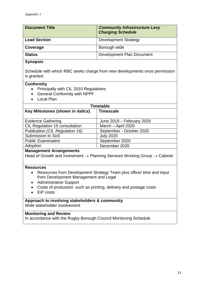| <b>Document Title</b> | <b>Community Infrastructure Levy</b><br><b>Charging Schedule</b> |
|-----------------------|------------------------------------------------------------------|
| <b>Lead Section</b>   | <b>Development Strategy</b>                                      |
| Coverage              | Borough wide                                                     |
| <b>Status</b>         | Development Plan Document                                        |

Schedule with which RBC seeks charge from new developments once permission is granted.

### **Conformity**

- Principally with CIL 2010 Regulations
- General Conformity with NPPF
- Local Plan

| <b>Timetable</b>                          |                           |  |  |  |
|-------------------------------------------|---------------------------|--|--|--|
| Key Milestones (shown in <i>italics</i> ) | <b>Timescale</b>          |  |  |  |
|                                           |                           |  |  |  |
| <b>Evidence Gathering</b>                 | June 2019 - February 2020 |  |  |  |
| CIL Regulation 15 consultation            | March - April 2020        |  |  |  |
| Publication (CIL Regulation 16)           | September - October 2020  |  |  |  |
| <b>Submission to SoS</b>                  | <b>July 2020</b>          |  |  |  |
| <b>Public Examination</b>                 | September 2020            |  |  |  |
| Adoption                                  | December 2020             |  |  |  |

### **Management Arrangements**

Head of Growth and Investment  $\rightarrow$  Planning Services Working Group  $\rightarrow$  Cabinet

### **Resources**

- Resources from Development Strategy Team plus officer time and input from Development Management and Legal
- Administrative Support
- Costs of production: such as printing, delivery and postage costs
- EiP costs

### **Approach to involving stakeholders & community** Wide stakeholder involvement

### **Monitoring and Review**

In accordance with the Rugby Borough Council Monitoring Schedule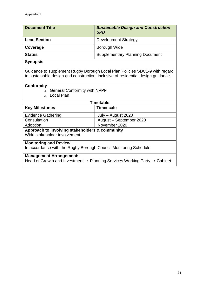| <b>Document Title</b> | <b>Sustainable Design and Construction</b><br><b>SPD</b> |
|-----------------------|----------------------------------------------------------|
| <b>Lead Section</b>   | <b>Development Strategy</b>                              |
| Coverage              | <b>Borough Wide</b>                                      |
| <b>Status</b>         | <b>Supplementary Planning Document</b>                   |

Guidance to supplement Rugby Borough Local Plan Policies SDC1-9 with regard to sustainable design and construction, inclusive of residential design guidance.

### **Conformity**

- $\circ$  General Conformity with NPPF
- o Local Plan

| Timetable                                                                                         |                         |  |
|---------------------------------------------------------------------------------------------------|-------------------------|--|
| <b>Key Milestones</b>                                                                             | <b>Timescale</b>        |  |
| <b>Evidence Gathering</b>                                                                         | July - August 2020      |  |
| Consultation                                                                                      | August - September 2020 |  |
| Adoption                                                                                          | November 2020           |  |
| Approach to involving stakeholders & community                                                    |                         |  |
| Wide stakeholder involvement                                                                      |                         |  |
| <b>Monitoring and Review</b>                                                                      |                         |  |
| In accordance with the Rugby Borough Council Monitoring Schedule                                  |                         |  |
| <b>Management Arrangements</b>                                                                    |                         |  |
| Head of Growth and Investment $\rightarrow$ Planning Services Working Party $\rightarrow$ Cabinet |                         |  |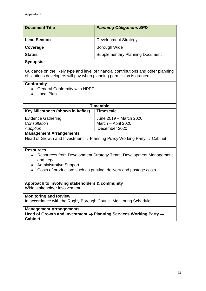| <b>Document Title</b> | <b>Planning Obligations SPD</b>        |
|-----------------------|----------------------------------------|
| <b>Lead Section</b>   | <b>Development Strategy</b>            |
| Coverage              | Borough Wide                           |
| <b>Status</b>         | <b>Supplementary Planning Document</b> |

Guidance on the likely type and level of financial contributions and other planning obligations developers will pay when planning permission is granted.

### **Conformity**

- General Conformity with NPPF
- Local Plan

| Timetable                                 |                        |
|-------------------------------------------|------------------------|
| Key Milestones (shown in <i>italics</i> ) | <b>Timescale</b>       |
| <b>Evidence Gathering</b>                 | June 2019 – March 2020 |
| Consultation                              | March - April 2020     |
| Adoption                                  | December 2020          |
|                                           |                        |

### **Management Arrangements**

Head of Growth and Investment  $\rightarrow$  Planning Policy Working Party  $\rightarrow$  Cabinet

### **Resources**

- Resources from Development Strategy Team, Development Management and Legal
- Administrative Support
- Costs of production: such as printing, delivery and postage costs

### **Approach to involving stakeholders & community**

Wide stakeholder involvement

### **Monitoring and Review**

In accordance with the Rugby Borough Council Monitoring Schedule

### **Management Arrangements**

**Head of Growth and Investment Planning Services Working Party Cabinet**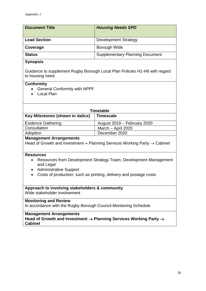| <b>Document Title</b> | <b>Housing Needs SPD</b>               |
|-----------------------|----------------------------------------|
| <b>Lead Section</b>   | <b>Development Strategy</b>            |
| Coverage              | Borough Wide                           |
| <b>Status</b>         | <b>Supplementary Planning Document</b> |

Guidance to supplement Rugby Borough Local Plan Policies H1-H6 with regard to housing need.

### **Conformity**

- General Conformity with NPPF
- Local Plan

| Timetable                                 |                             |
|-------------------------------------------|-----------------------------|
| Key Milestones (shown in <i>italics</i> ) | <b>Timescale</b>            |
| <b>Evidence Gathering</b>                 | August 2019 - February 2020 |
| Consultation                              | March - April 2020          |
| Adoption                                  | December 2020               |
| Mais a signa and Annan signa and al       |                             |

### **Management Arrangements**

Head of Growth and Investment $\rightarrow$  Planning Services Working Party  $\rightarrow$  Cabinet

### **Resources**

- Resources from Development Strategy Team, Development Management and Legal
- Administrative Support
- Costs of production: such as printing, delivery and postage costs

# **Approach to involving stakeholders & community**

Wide stakeholder involvement

### **Monitoring and Review**

In accordance with the Rugby Borough Council Monitoring Schedule

### **Management Arrangements**

**Head of Growth and Investment Planning Services Working Party Cabinet**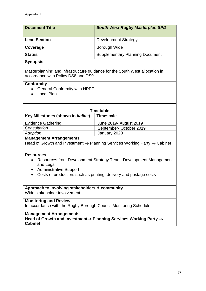| <b>Document Title</b> | <b>South West Rugby Masterplan SPD</b> |
|-----------------------|----------------------------------------|
| <b>Lead Section</b>   | <b>Development Strategy</b>            |
| Coverage              | <b>Borough Wide</b>                    |
| <b>Status</b>         | <b>Supplementary Planning Document</b> |
|                       |                                        |

Masterplanning and infrastructure guidance for the South West allocation in accordance with Policy DS8 and DS9

### **Conformity**

- General Conformity with NPPF
- Local Plan

| Timetable                                 |                         |
|-------------------------------------------|-------------------------|
| Key Milestones (shown in <i>italics</i> ) | <b>Timescale</b>        |
| <b>Evidence Gathering</b>                 | June 2019 - August 2019 |
| Consultation                              | September-October 2019  |
| Adoption                                  | January 2020            |
| Managamant Arrangamante                   |                         |

### **Management Arrangements**

Head of Growth and Investment  $\rightarrow$  Planning Services Working Party  $\rightarrow$  Cabinet

### **Resources**

- Resources from Development Strategy Team, Development Management and Legal
- Administrative Support
- Costs of production: such as printing, delivery and postage costs

# **Approach to involving stakeholders & community**

Wide stakeholder involvement

### **Monitoring and Review**

In accordance with the Rugby Borough Council Monitoring Schedule

### **Management Arrangements**

Head of Growth and Investment→ Planning Services Working Party → **Cabinet**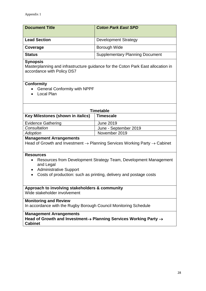| <b>Document Title</b> | <b>Coton Park East SPD</b>             |
|-----------------------|----------------------------------------|
| <b>Lead Section</b>   | <b>Development Strategy</b>            |
| Coverage              | Borough Wide                           |
| <b>Status</b>         | <b>Supplementary Planning Document</b> |

Masterplanning and infrastructure guidance for the Coton Park East allocation in accordance with Policy DS7

### **Conformity**

- General Conformity with NPPF
- Local Plan

| <b>Timetable</b>                          |                       |  |
|-------------------------------------------|-----------------------|--|
| Key Milestones (shown in <i>italics</i> ) | <b>Timescale</b>      |  |
| <b>Evidence Gathering</b>                 | June 2019             |  |
| Consultation                              | June - September 2019 |  |
| Adoption                                  | November 2019         |  |
| Managamant Arrangements                   |                       |  |

### **Management Arrangements**

Head of Growth and Investment  $\rightarrow$  Planning Services Working Party  $\rightarrow$  Cabinet

### **Resources**

- Resources from Development Strategy Team, Development Management and Legal
- Administrative Support
- Costs of production: such as printing, delivery and postage costs

# **Approach to involving stakeholders & community**

Wide stakeholder involvement

### **Monitoring and Review**

In accordance with the Rugby Borough Council Monitoring Schedule

### **Management Arrangements**

Head of Growth and Investment→ Planning Services Working Party → **Cabinet**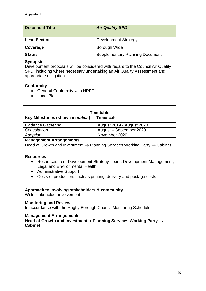| <b>Document Title</b> | <b>Air Quality SPD</b>                 |
|-----------------------|----------------------------------------|
| <b>Lead Section</b>   | <b>Development Strategy</b>            |
| Coverage              | Borough Wide                           |
| <b>Status</b>         | <b>Supplementary Planning Document</b> |

Development proposals will be considered with regard to the Council Air Quality SPD, including where necessary undertaking an Air Quality Assessment and appropriate mitigation.

### **Conformity**

- General Conformity with NPPF
- Local Plan

| <b>Timetable</b>                          |                           |
|-------------------------------------------|---------------------------|
| Key Milestones (shown in <i>italics</i> ) | <b>Timescale</b>          |
| <b>Evidence Gathering</b>                 | August 2019 - August 2020 |
| Consultation                              | August - September 2020   |
| Adoption                                  | November 2020             |
|                                           |                           |

### **Management Arrangements**

Head of Growth and Investment  $\rightarrow$  Planning Services Working Party  $\rightarrow$  Cabinet

### **Resources**

- Resources from Development Strategy Team, Development Management, Legal and Environmental Health
- Administrative Support
- Costs of production: such as printing, delivery and postage costs

### **Approach to involving stakeholders & community**

Wide stakeholder involvement

### **Monitoring and Review**

In accordance with the Rugby Borough Council Monitoring Schedule

### **Management Arrangements**

Head of Growth and Investment→ Planning Services Working Party → **Cabinet**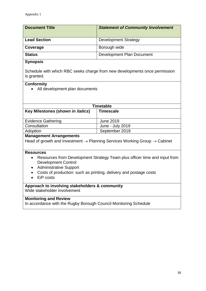| <b>Document Title</b> | <b>Statement of Community Involvement</b> |
|-----------------------|-------------------------------------------|
| <b>Lead Section</b>   | <b>Development Strategy</b>               |
| Coverage              | Borough wide                              |
| <b>Status</b>         | Development Plan Document                 |

Schedule with which RBC seeks charge from new developments once permission is granted.

### **Conformity**

• All development plan documents

| <b>Timetable</b>                          |                  |  |  |
|-------------------------------------------|------------------|--|--|
| Key Milestones (shown in <i>italics</i> ) | <b>Timescale</b> |  |  |
|                                           |                  |  |  |
| <b>Evidence Gathering</b>                 | June 2019        |  |  |
| Consultation                              | June - July 2019 |  |  |
| Adoption                                  | September 2019   |  |  |
|                                           |                  |  |  |

### **Management Arrangements**

Head of growth and Investment  $\rightarrow$  Planning Services Working Group  $\rightarrow$  Cabinet

### **Resources**

- Resources from Development Strategy Team plus officer time and input from Development Control
- Administrative Support
- Costs of production: such as printing, delivery and postage costs
- EiP costs

### **Approach to involving stakeholders & community**

Wide stakeholder involvement

### **Monitoring and Review**

In accordance with the Rugby Borough Council Monitoring Schedule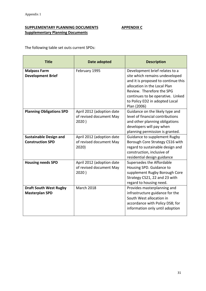### **SUPPLEMENTARY PLANNING DOCUMENTS APPENDIX C Supplementary Planning Documents**

The following table set outs current SPDs:

| <b>Title</b>                                             | Date adopted                                                  | <b>Description</b>                                                                                                                                                                                                                                         |
|----------------------------------------------------------|---------------------------------------------------------------|------------------------------------------------------------------------------------------------------------------------------------------------------------------------------------------------------------------------------------------------------------|
| <b>Malpass Farm</b><br><b>Development Brief</b>          | February 1995                                                 | Development brief relates to a<br>site which remains undeveloped<br>and it is proposed to continue this<br>allocation in the Local Plan<br>Review. Therefore the SPG<br>continues to be operative. Linked<br>to Policy ED2 in adopted Local<br>Plan (2006) |
| <b>Planning Obligations SPD</b>                          | April 2012 (adoption date<br>of revised document May<br>2020) | Guidance on the likely type and<br>level of financial contributions<br>and other planning obligations<br>developers will pay when<br>planning permission is granted.                                                                                       |
| <b>Sustainable Design and</b><br><b>Construction SPD</b> | April 2012 (adoption date<br>of revised document May<br>2020) | <b>Guidance to supplement Rugby</b><br>Borough Core Strategy CS16 with<br>regard to sustainable design and<br>construction, inclusive of<br>residential design guidance                                                                                    |
| <b>Housing needs SPD</b>                                 | April 2012 (adoption date<br>of revised document May<br>2020) | Supersedes the Affordable<br>Housing SPD. Guidance to<br>supplement Rugby Borough Core<br>Strategy CS21, 22 and 23 with<br>regard to housing need.                                                                                                         |
| <b>Draft South West Rugby</b><br><b>Masterplan SPD</b>   | <b>March 2018</b>                                             | Provides masterplanning and<br>infrastructure guidance for the<br>South West allocation in<br>accordance with Policy DS8; for<br>information only until adoption                                                                                           |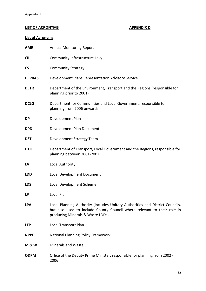### **LIST OF ACRONYMS APPENDIX D**

### **List of Acronyms**

| <b>AMR</b>     | <b>Annual Monitoring Report</b>                                                                                                                                                              |
|----------------|----------------------------------------------------------------------------------------------------------------------------------------------------------------------------------------------|
| <b>CIL</b>     | Community Infrastructure Levy                                                                                                                                                                |
| <b>CS</b>      | <b>Community Strategy</b>                                                                                                                                                                    |
| <b>DEPRAS</b>  | Development Plans Representation Advisory Service                                                                                                                                            |
| <b>DETR</b>    | Department of the Environment, Transport and the Regions (responsible for<br>planning prior to 2001)                                                                                         |
| <b>DCLG</b>    | Department for Communities and Local Government, responsible for<br>planning from 2006 onwards                                                                                               |
| DP             | Development Plan                                                                                                                                                                             |
| <b>DPD</b>     | Development Plan Document                                                                                                                                                                    |
| <b>DST</b>     | Development Strategy Team                                                                                                                                                                    |
| <b>DTLR</b>    | Department of Transport, Local Government and the Regions, responsible for<br>planning between 2001-2002                                                                                     |
| LA             | Local Authority                                                                                                                                                                              |
| <b>LDD</b>     | Local Development Document                                                                                                                                                                   |
| <b>LDS</b>     | Local Development Scheme                                                                                                                                                                     |
| LP             | <b>Local Plan</b>                                                                                                                                                                            |
| <b>LPA</b>     | Local Planning Authority (includes Unitary Authorities and District Councils,<br>but also used to include County Council where relevant to their role in<br>producing Minerals & Waste LDDs) |
| <b>LTP</b>     | Local Transport Plan                                                                                                                                                                         |
| <b>NPPF</b>    | <b>National Planning Policy Framework</b>                                                                                                                                                    |
| <b>M&amp;W</b> | <b>Minerals and Waste</b>                                                                                                                                                                    |
| <b>ODPM</b>    | Office of the Deputy Prime Minister, responsible for planning from 2002 -<br>2006                                                                                                            |